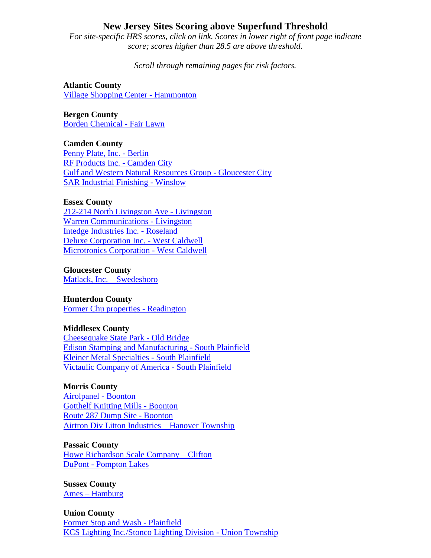# **New Jersey Sites Scoring above Superfund Threshold**

*For site-specific HRS scores, click on link. Scores in lower right of front page indicate score; scores higher than 28.5 are above threshold.* 

*Scroll through remaining pages for risk factors.* 

**Atlantic County** [Village Shopping Center -](http://peer.org/docs/nj/Village%20Shopping%20Center_NJN000206467%28PA%29.pdf) Hammonton

**Bergen County** [Borden Chemical -](http://peer.org/docs/nj/BordenChemical_NJD001374883%28Site%20Reass.%29.pdf) Fair Lawn

**Camden County** [Penny Plate, Inc. -](http://peer.org/docs/nj/Penny%20Plate%20Inc._NJD982740110%28ESI%29.pdf) Berlin [RF Products Inc. -](http://peer.org/docs/nj/RF%20Products%20Inc._NJD096846522%28ESI%29.pdf) Camden City [Gulf and Western Natural Resources Group -](http://peer.org/docs/nj/G%20&%20W%20Natural%20Resources_NJD002347664%28Site%20Reass%29.pdf) Gloucester City [SAR Industrial Finishing -](http://peer.org/docs/nj/SARIndustrialFinishingInc._NJD980762397%28SI%29.pdf) Winslow

## **Essex County**

[212-214 North Livingston Ave -](http://www.peer.org/docs/nj/212-214%20North%20Livingston%20Avenue_NJN000206297%28SI%29.pdf) Livingston [Warren Communications -](http://peer.org/docs/nj/Warren%20Communications_%28SI%29_NJD052451093.pdf) Livingston [Intedge Industries Inc. -](http://peer.org/docs/nj/Intedge%20Industries%20Inc._NJD002184380%28Site%20Reass%29.pdf) Roseland [Deluxe Corporation Inc. -](http://peer.org/docs/nj/Deluxe.Corp.Inc._NJD041826470%28SI%29.pdf) West Caldwell Microtronics Corporation - [West Caldwell](http://peer.org/docs/nj/MicrotonicsCorp._NJD980761175%28SI%29.pdf)

### **Gloucester County**

[Matlack, Inc. –](http://peer.org/docs/nj/Matlack.Inc%20_NJD043584101.pdf) Swedesboro

## **Hunterdon County**

[Former Chu properties -](http://peer.org/docs/nj/FormerChuProperty_NJN000206468%28PA%29.pdf) Readington

### **Middlesex County**

[Cheesequake State Park -](http://peer.org/docs/nj/CheesequakeStatePark_NJD980528863%28Site%20Reass.%29.pdf) Old Bridge [Edison Stamping and Manufacturing -](http://peer.org/docs/nj/EdisonStamping&Manufact._NJD061056198%28SI%29.pdf) South Plainfield [Kleiner Metal Specialties -](http://peer.org/docs/nj/KleinerMetalSpecialties_NJD055935902_%28ESI%29.pdf) South Plainfield [Victaulic Company of America -](http://peer.org/docs/nj/VictaulicCompanyofAmerica_NJD002136117%28ESI%29.pdf) South Plainfield

#### **Morris County**

[Airolpanel -](http://peer.org/docs/nj/AerolpanelCorp_NJD980773105%28PA%29.pdf) Boonton Gotthelf [Knitting Mills -](http://peer.org/docs/nj/GotthelfKnittingMills_NJN000206412%28SI%29.pdf) Boonton [Route 287 Dump Site -](http://peer.org/docs/nj/Route287Dump_NJN000206474%28PA%29.pdf) Boonton [Airtron Div Litton Industries –](http://peer.org/docs/nj/AirtronDivLittonIndustries_NJD030239412%28Site%20Reass.%29.pdf) Hanover Township

#### **Passaic County**

[Howe Richardson Scale Company –](http://peer.org/docs/nj/HoweRichardsonScaleCompany_NJD002192623%28Site%20Reass%29.pdf) Clifton DuPont - [Pompton Lakes](http://peer.org/docs/nj/EIDupontDeNemours_NJD980771604.pdf)

**Sussex County** Ames – [Hamburg](http://peer.org/docs/nj/AmesRubber_NJD002389468_%28SiteReasses%29.pdf)

**Union County** [Former Stop and Wash -](http://peer.org/docs/nj/FormerStopnWash_NJN000206278%28SI%29.pdf) Plainfield [KCS Lighting Inc./Stonco Lighting Division -](http://peer.org/docs/nj/KCSLightingInc.-Stonco_NJD053513644_%28SI%29.pdf) Union Township